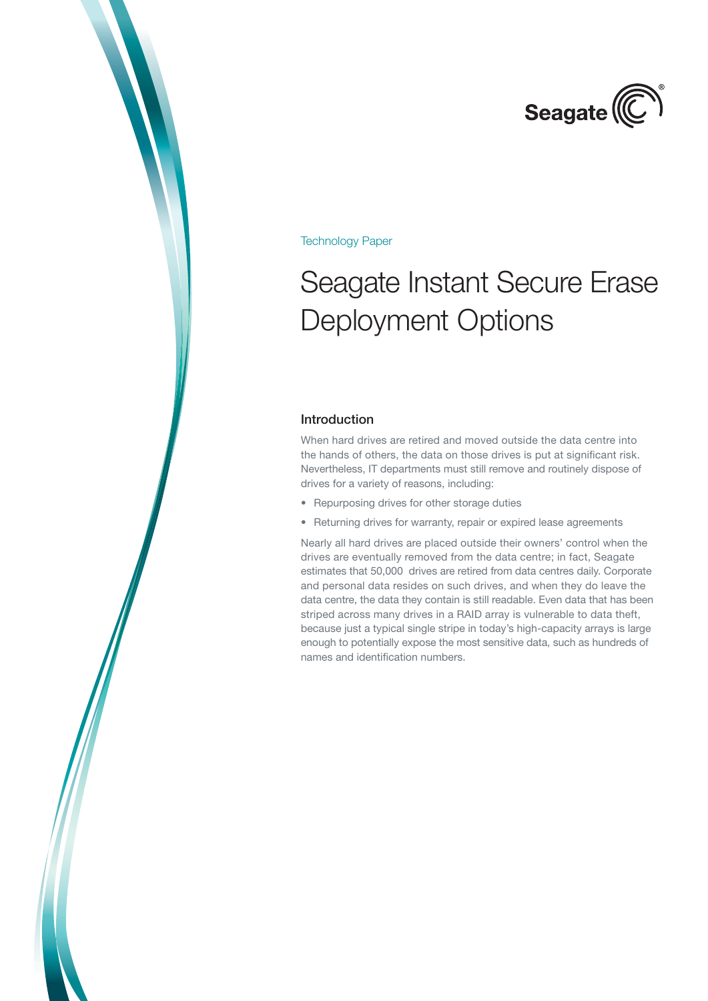

Technology Paper

# Seagate Instant Secure Erase Deployment Options

#### Introduction

When hard drives are retired and moved outside the data centre into the hands of others, the data on those drives is put at significant risk. Nevertheless, IT departments must still remove and routinely dispose of drives for a variety of reasons, including:

- • Repurposing drives for other storage duties
- Returning drives for warranty, repair or expired lease agreements

Nearly all hard drives are placed outside their owners' control when the drives are eventually removed from the data centre; in fact, Seagate estimates that 50,000 drives are retired from data centres daily. Corporate and personal data resides on such drives, and when they do leave the data centre, the data they contain is still readable. Even data that has been striped across many drives in a RAID array is vulnerable to data theft, because just a typical single stripe in today's high-capacity arrays is large enough to potentially expose the most sensitive data, such as hundreds of names and identification numbers.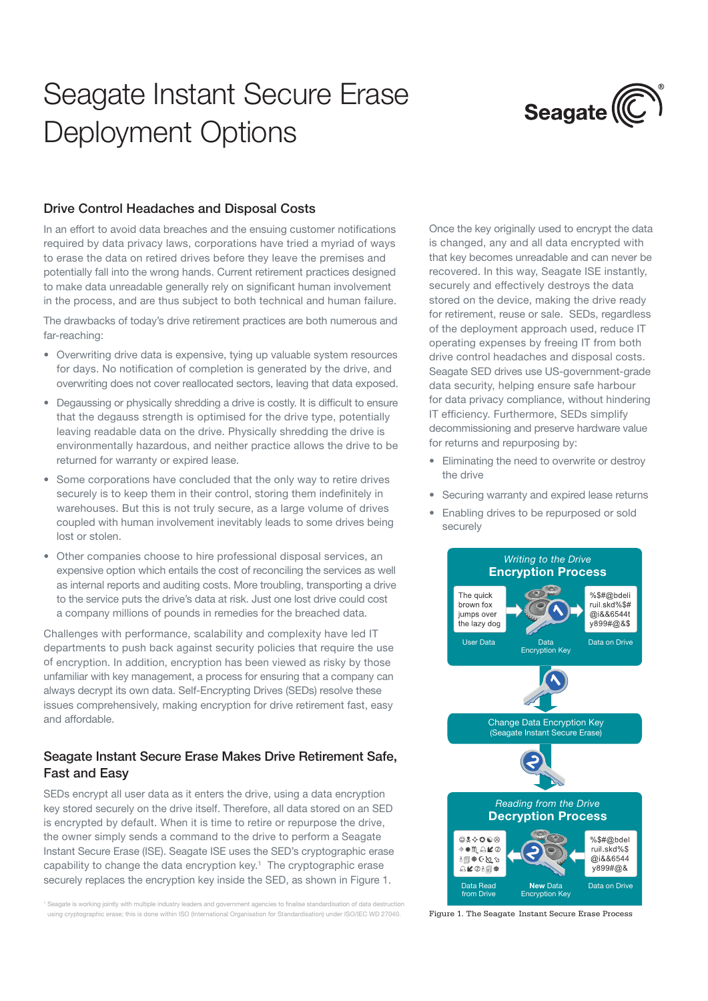

#### Drive Control Headaches and Disposal Costs

In an effort to avoid data breaches and the ensuing customer notifications required by data privacy laws, corporations have tried a myriad of ways to erase the data on retired drives before they leave the premises and potentially fall into the wrong hands. Current retirement practices designed to make data unreadable generally rely on significant human involvement in the process, and are thus subject to both technical and human failure.

The drawbacks of today's drive retirement practices are both numerous and far-reaching:

- Overwriting drive data is expensive, tying up valuable system resources for days. No notification of completion is generated by the drive, and overwriting does not cover reallocated sectors, leaving that data exposed.
- Degaussing or physically shredding a drive is costly. It is difficult to ensure that the degauss strength is optimised for the drive type, potentially leaving readable data on the drive. Physically shredding the drive is environmentally hazardous, and neither practice allows the drive to be returned for warranty or expired lease.
- Some corporations have concluded that the only way to retire drives securely is to keep them in their control, storing them indefinitely in warehouses. But this is not truly secure, as a large volume of drives coupled with human involvement inevitably leads to some drives being lost or stolen.
- Other companies choose to hire professional disposal services, an expensive option which entails the cost of reconciling the services as well as internal reports and auditing costs. More troubling, transporting a drive to the service puts the drive's data at risk. Just one lost drive could cost a company millions of pounds in remedies for the breached data.

Challenges with performance, scalability and complexity have led IT departments to push back against security policies that require the use of encryption. In addition, encryption has been viewed as risky by those unfamiliar with key management, a process for ensuring that a company can always decrypt its own data. Self-Encrypting Drives (SEDs) resolve these issues comprehensively, making encryption for drive retirement fast, easy and affordable.

### Seagate Instant Secure Erase Makes Drive Retirement Safe, Fast and Easy

SEDs encrypt all user data as it enters the drive, using a data encryption key stored securely on the drive itself. Therefore, all data stored on an SED is encrypted by default. When it is time to retire or repurpose the drive, the owner simply sends a command to the drive to perform a Seagate Instant Secure Erase (ISE). Seagate ISE uses the SED's cryptographic erase capability to change the data encryption key. $1$  The cryptographic erase securely replaces the encryption key inside the SED, as shown in Figure 1.

 Seagate is working jointly with multiple industry leaders and government agencies to finalise standardisation of data destruction using cryptographic erase; this is done within ISO (International Organisation for Standardisation) under ISO/IEC WD 27040.

Once the key originally used to encrypt the data is changed, any and all data encrypted with that key becomes unreadable and can never be recovered. In this way, Seagate ISE instantly, securely and effectively destroys the data stored on the device, making the drive ready for retirement, reuse or sale. SEDs, regardless of the deployment approach used, reduce IT operating expenses by freeing IT from both drive control headaches and disposal costs. Seagate SED drives use US-government-grade data security, helping ensure safe harbour for data privacy compliance, without hindering IT efficiency. Furthermore, SEDs simplify decommissioning and preserve hardware value for returns and repurposing by:

- Eliminating the need to overwrite or destroy the drive
- • Securing warranty and expired lease returns
- Enabling drives to be repurposed or sold securely



Figure 1. The Seagate Instant Secure Erase Process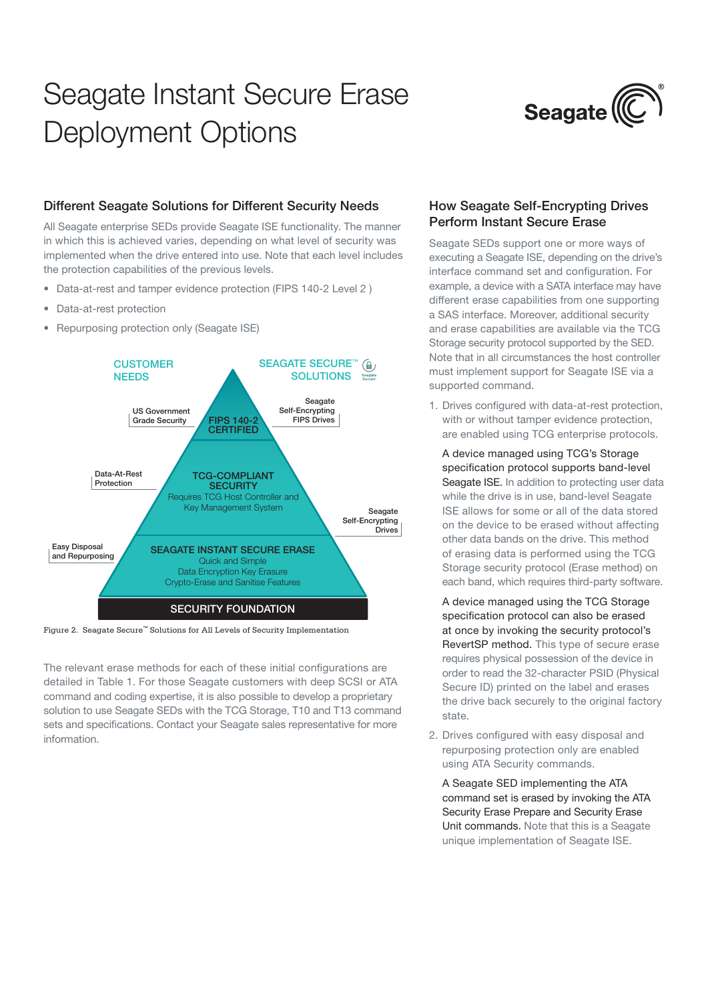

### Different Seagate Solutions for Different Security Needs

All Seagate enterprise SEDs provide Seagate ISE functionality. The manner in which this is achieved varies, depending on what level of security was implemented when the drive entered into use. Note that each level includes the protection capabilities of the previous levels.

- Data-at-rest and tamper evidence protection (FIPS 140-2 Level 2)
- Data-at-rest protection
- Repurposing protection only (Seagate ISE)



Figure 2. Seagate Secure™ Solutions for All Levels of Security Implementation

The relevant erase methods for each of these initial configurations are detailed in Table 1. For those Seagate customers with deep SCSI or ATA command and coding expertise, it is also possible to develop a proprietary solution to use Seagate SEDs with the TCG Storage, T10 and T13 command sets and specifications. Contact your Seagate sales representative for more information.

### How Seagate Self-Encrypting Drives Perform Instant Secure Erase

Seagate SEDs support one or more ways of executing a Seagate ISE, depending on the drive's interface command set and configuration. For example, a device with a SATA interface may have different erase capabilities from one supporting a SAS interface. Moreover, additional security and erase capabilities are available via the TCG Storage security protocol supported by the SED. Note that in all circumstances the host controller must implement support for Seagate ISE via a supported command.

1. Drives configured with data-at-rest protection, with or without tamper evidence protection, are enabled using TCG enterprise protocols.

A device managed using TCG's Storage specification protocol supports band-level Seagate ISE. In addition to protecting user data while the drive is in use, band-level Seagate ISE allows for some or all of the data stored on the device to be erased without affecting other data bands on the drive. This method of erasing data is performed using the TCG Storage security protocol (Erase method) on each band, which requires third-party software.

A device managed using the TCG Storage specification protocol can also be erased at once by invoking the security protocol's RevertSP method. This type of secure erase requires physical possession of the device in order to read the 32-character PSID (Physical Secure ID) printed on the label and erases the drive back securely to the original factory state.

2. Drives configured with easy disposal and repurposing protection only are enabled using ATA Security commands.

A Seagate SED implementing the ATA command set is erased by invoking the ATA Security Erase Prepare and Security Erase Unit commands. Note that this is a Seagate unique implementation of Seagate ISE.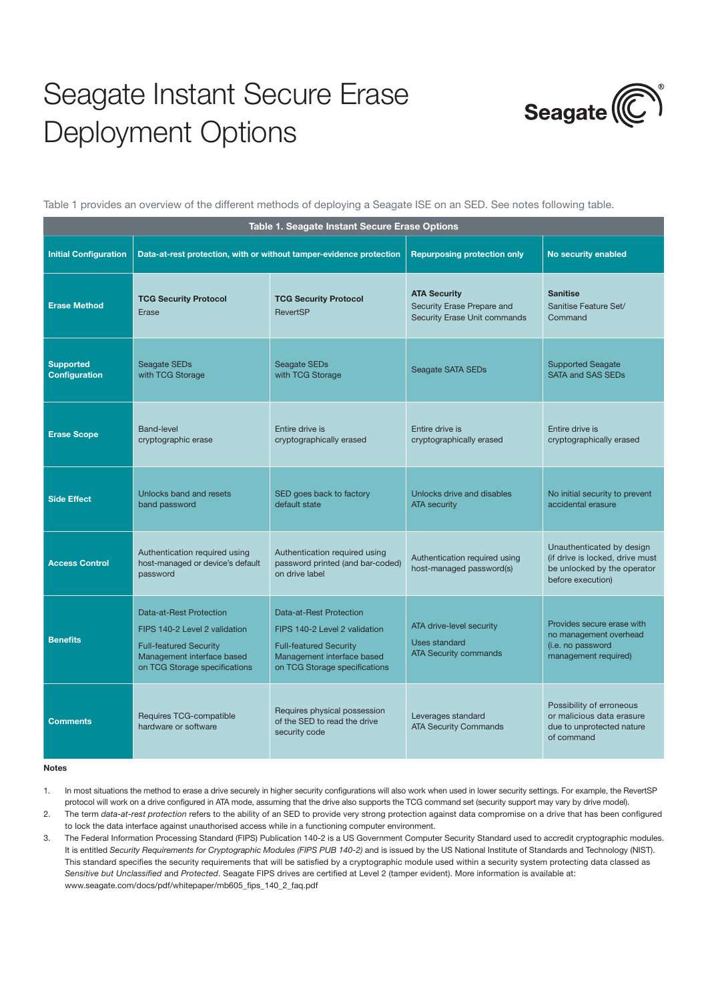

Table 1 provides an overview of the different methods of deploying a Seagate ISE on an SED. See notes following table.

| Table 1. Seagate Instant Secure Erase Options |                                                                                                                                                          |                                                                                                                                                          |                                                                                   |                                                                                                                  |
|-----------------------------------------------|----------------------------------------------------------------------------------------------------------------------------------------------------------|----------------------------------------------------------------------------------------------------------------------------------------------------------|-----------------------------------------------------------------------------------|------------------------------------------------------------------------------------------------------------------|
| <b>Initial Configuration</b>                  | Data-at-rest protection, with or without tamper-evidence protection                                                                                      |                                                                                                                                                          | <b>Repurposing protection only</b>                                                | No security enabled                                                                                              |
| <b>Erase Method</b>                           | <b>TCG Security Protocol</b><br>Erase                                                                                                                    | <b>TCG Security Protocol</b><br><b>RevertSP</b>                                                                                                          | <b>ATA Security</b><br>Security Erase Prepare and<br>Security Erase Unit commands | <b>Sanitise</b><br>Sanitise Feature Set/<br>Command                                                              |
| <b>Supported</b><br><b>Configuration</b>      | <b>Seagate SEDs</b><br>with TCG Storage                                                                                                                  | <b>Seagate SEDs</b><br>with TCG Storage                                                                                                                  | <b>Seagate SATA SEDs</b>                                                          | <b>Supported Seagate</b><br><b>SATA and SAS SEDs</b>                                                             |
| <b>Erase Scope</b>                            | <b>Band-level</b><br>cryptographic erase                                                                                                                 | Entire drive is<br>cryptographically erased                                                                                                              | Entire drive is<br>cryptographically erased                                       | Entire drive is<br>cryptographically erased                                                                      |
| <b>Side Effect</b>                            | Unlocks band and resets<br>band password                                                                                                                 | SED goes back to factory<br>default state                                                                                                                | Unlocks drive and disables<br><b>ATA security</b>                                 | No initial security to prevent<br>accidental erasure                                                             |
| <b>Access Control</b>                         | Authentication required using<br>host-managed or device's default<br>password                                                                            | Authentication required using<br>password printed (and bar-coded)<br>on drive label                                                                      | Authentication required using<br>host-managed password(s)                         | Unauthenticated by design<br>(if drive is locked, drive must<br>be unlocked by the operator<br>before execution) |
| <b>Benefits</b>                               | Data-at-Rest Protection<br>FIPS 140-2 Level 2 validation<br><b>Full-featured Security</b><br>Management interface based<br>on TCG Storage specifications | Data-at-Rest Protection<br>FIPS 140-2 Level 2 validation<br><b>Full-featured Security</b><br>Management interface based<br>on TCG Storage specifications | ATA drive-level security<br><b>Uses standard</b><br><b>ATA Security commands</b>  | Provides secure erase with<br>no management overhead<br>(i.e. no password<br>management required)                |
| <b>Comments</b>                               | Requires TCG-compatible<br>hardware or software                                                                                                          | Requires physical possession<br>of the SED to read the drive<br>security code                                                                            | Leverages standard<br><b>ATA Security Commands</b>                                | Possibility of erroneous<br>or malicious data erasure<br>due to unprotected nature<br>of command                 |

Notes

1. In most situations the method to erase a drive securely in higher security configurations will also work when used in lower security settings. For example, the RevertSP protocol will work on a drive configured in ATA mode, assuming that the drive also supports the TCG command set (security support may vary by drive model).

2. The term *data-at-rest protection* refers to the ability of an SED to provide very strong protection against data compromise on a drive that has been configured to lock the data interface against unauthorised access while in a functioning computer environment.

3. The Federal Information Processing Standard (FIPS) Publication 140-2 is a US Government Computer Security Standard used to accredit cryptographic modules. It is entitled *Security Requirements for Cryptographic Modules (FIPS PUB 140-2)* and is issued by the US National Institute of Standards and Technology (NIST). This standard specifies the security requirements that will be satisfied by a cryptographic module used within a security system protecting data classed as *Sensitive but Unclassified* and *Protected*. Seagate FIPS drives are certified at Level 2 (tamper evident). More information is available at: www.seagate.com/docs/pdf/whitepaper/mb605\_fips\_140\_2\_faq.pdf